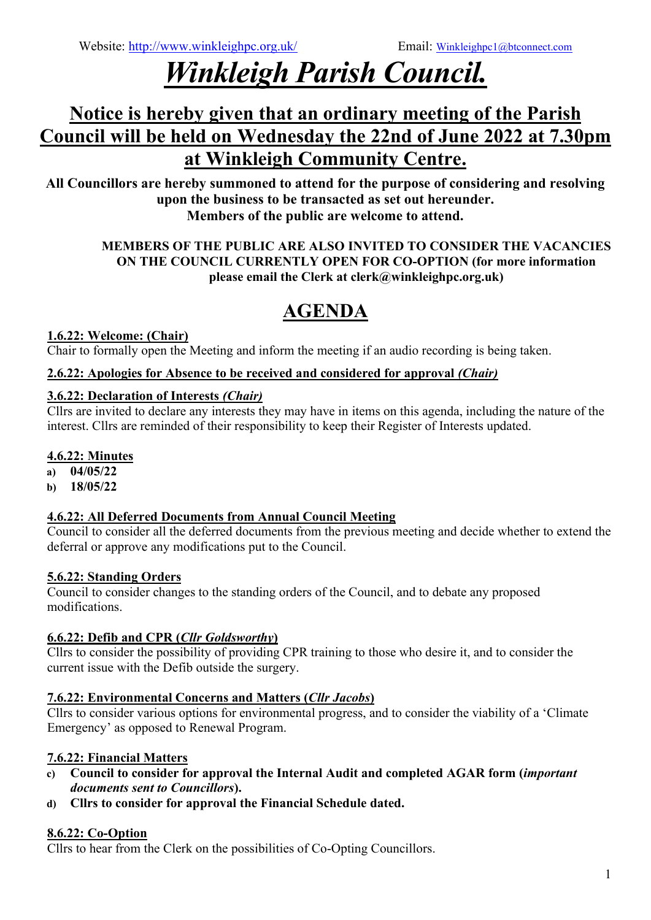# *Winkleigh Parish Council.*

# **Notice is hereby given that an ordinary meeting of the Parish Council will be held on Wednesday the 22nd of June 2022 at 7.30pm at Winkleigh Community Centre.**

**All Councillors are hereby summoned to attend for the purpose of considering and resolving upon the business to be transacted as set out hereunder. Members of the public are welcome to attend.**

#### **MEMBERS OF THE PUBLIC ARE ALSO INVITED TO CONSIDER THE VACANCIES ON THE COUNCIL CURRENTLY OPEN FOR CO-OPTION (for more information please email the Clerk at clerk@winkleighpc.org.uk)**

# **AGENDA**

# **1.6.22: Welcome: (Chair)**

Chair to formally open the Meeting and inform the meeting if an audio recording is being taken.

#### **2.6.22: Apologies for Absence to be received and considered for approval** *(Chair)*

#### **3.6.22: Declaration of Interests** *(Chair)*

Cllrs are invited to declare any interests they may have in items on this agenda, including the nature of the interest. Cllrs are reminded of their responsibility to keep their Register of Interests updated.

#### **4.6.22: Minutes**

- **a) 04/05/22**
- **b) 18/05/22**

## **4.6.22: All Deferred Documents from Annual Council Meeting**

Council to consider all the deferred documents from the previous meeting and decide whether to extend the deferral or approve any modifications put to the Council.

## **5.6.22: Standing Orders**

Council to consider changes to the standing orders of the Council, and to debate any proposed modifications.

## **6.6.22: Defib and CPR (***Cllr Goldsworthy***)**

Cllrs to consider the possibility of providing CPR training to those who desire it, and to consider the current issue with the Defib outside the surgery.

## **7.6.22: Environmental Concerns and Matters (***Cllr Jacobs***)**

Cllrs to consider various options for environmental progress, and to consider the viability of a 'Climate Emergency' as opposed to Renewal Program.

## **7.6.22: Financial Matters**

- **c) Council to consider for approval the Internal Audit and completed AGAR form (***important documents sent to Councillors***).**
- **d) Cllrs to consider for approval the Financial Schedule dated.**

## **8.6.22: Co-Option**

Cllrs to hear from the Clerk on the possibilities of Co-Opting Councillors.